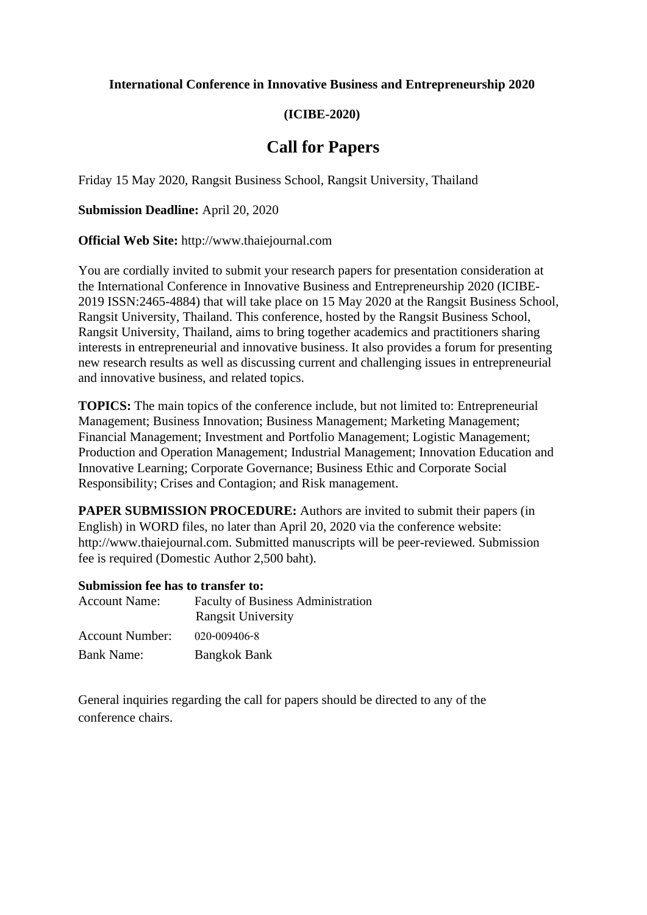### **International Conference in Innovative Business and Entrepreneurship 2020**

## **(ICIBE-2020)**

# **Call for Papers**

Friday 15 May 2020, Rangsit Business School, Rangsit University, Thailand

**Submission Deadline:** April 20, 2020

**Official Web Site:** http://www.thaiejournal.com

You are cordially invited to submit your research papers for presentation consideration at the International Conference in Innovative Business and Entrepreneurship 2020 (ICIBE-2019 ISSN:2465-4884) that will take place on 15 May 2020 at the Rangsit Business School, Rangsit University, Thailand. This conference, hosted by the Rangsit Business School, Rangsit University, Thailand, aims to bring together academics and practitioners sharing interests in entrepreneurial and innovative business. It also provides a forum for presenting new research results as well as discussing current and challenging issues in entrepreneurial and innovative business, and related topics.

**TOPICS:** The main topics of the conference include, but not limited to: Entrepreneurial Management; Business Innovation; Business Management; Marketing Management; Financial Management; Investment and Portfolio Management; Logistic Management; Production and Operation Management; Industrial Management; Innovation Education and Innovative Learning; Corporate Governance; Business Ethic and Corporate Social Responsibility; Crises and Contagion; and Risk management.

**PAPER SUBMISSION PROCEDURE:** Authors are invited to submit their papers (in English) in WORD files, no later than April 20, 2020 via the conference website: http://www.thaiejournal.com. Submitted manuscripts will be peer-reviewed. Submission fee is required (Domestic Author 2,500 baht).

#### **Submission fee has to transfer to:**

| <b>Account Name:</b>   | <b>Faculty of Business Administration</b><br><b>Rangsit University</b> |
|------------------------|------------------------------------------------------------------------|
| <b>Account Number:</b> | $020 - 009406 - 8$                                                     |
| <b>Bank Name:</b>      | <b>Bangkok Bank</b>                                                    |

General inquiries regarding the call for papers should be directed to any of the conference chairs.